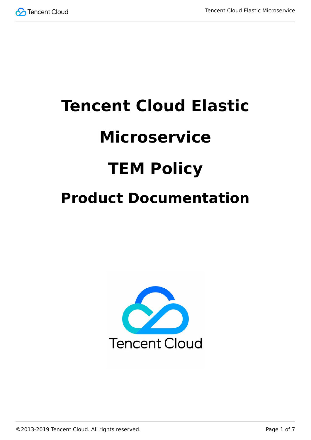

# **Tencent Cloud Elastic Microservice TEM Policy Product Documentation**



©2013-2019 Tencent Cloud. All rights reserved. Page 1 of 7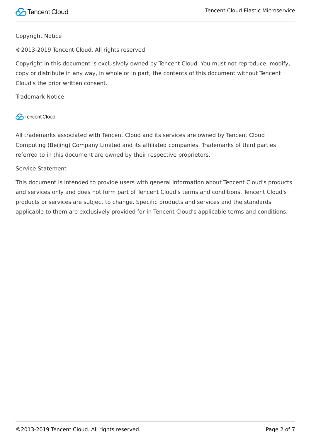

#### Copyright Notice

©2013-2019 Tencent Cloud. All rights reserved.

Copyright in this document is exclusively owned by Tencent Cloud. You must not reproduce, modify, copy or distribute in any way, in whole or in part, the contents of this document without Tencent Cloud's the prior written consent.

Trademark Notice

### **C** Tencent Cloud

All trademarks associated with Tencent Cloud and its services are owned by Tencent Cloud Computing (Beijing) Company Limited and its affiliated companies. Trademarks of third parties referred to in this document are owned by their respective proprietors.

#### Service Statement

This document is intended to provide users with general information about Tencent Cloud's products and services only and does not form part of Tencent Cloud's terms and conditions. Tencent Cloud's products or services are subject to change. Specific products and services and the standards applicable to them are exclusively provided for in Tencent Cloud's applicable terms and conditions.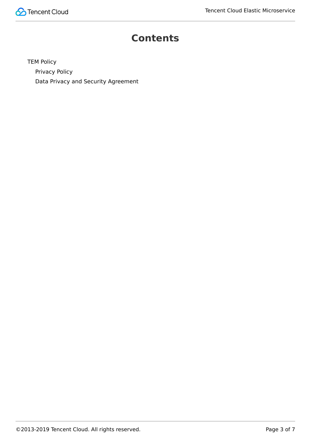

## **Contents**

[TEM Policy](#page-3-0) [Privacy Policy](#page-3-1) [Data Privacy and Security Agreement](#page-5-0)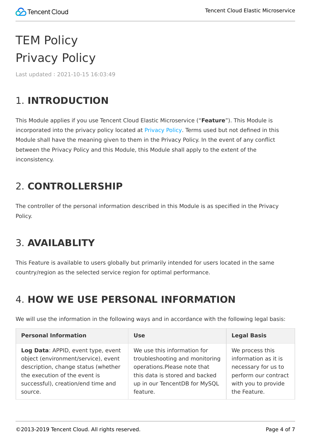# <span id="page-3-1"></span><span id="page-3-0"></span>TEM Policy Privacy Policy

Last updated:2021-10-15 16:03:49

# 1. **INTRODUCTION**

This Module applies if you use Tencent Cloud Elastic Microservice ("**Feature**"). This Module is incorporated into the privacy policy located at [Privacy Policy](https://intl.cloud.tencent.com/document/product/301/17345). Terms used but not defined in this Module shall have the meaning given to them in the Privacy Policy. In the event of any conflict between the Privacy Policy and this Module, this Module shall apply to the extent of the inconsistency.

# 2. **CONTROLLERSHIP**

The controller of the personal information described in this Module is as specified in the Privacy Policy.

# 3. **AVAILABLITY**

This Feature is available to users globally but primarily intended for users located in the same country/region as the selected service region for optimal performance.

# 4. **HOW WE USE PERSONAL INFORMATION**

We will use the information in the following ways and in accordance with the following legal basis:

| <b>Personal Information</b>         | <b>Use</b>                     | <b>Legal Basis</b>   |
|-------------------------------------|--------------------------------|----------------------|
| Log Data: APPID, event type, event  | We use this information for    | We process this      |
| object (environment/service), event | troubleshooting and monitoring | information as it is |
| description, change status (whether | operations.Please note that    | necessary for us to  |
| the execution of the event is       | this data is stored and backed | perform our contract |
| successful), creation/end time and  | up in our TencentDB for MySQL  | with you to provide  |
| source.                             | feature.                       | the Feature.         |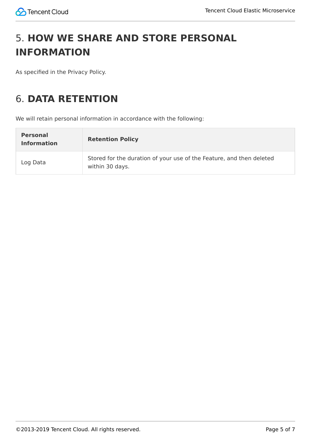# 5. **HOW WE SHARE AND STORE PERSONAL INFORMATION**

As specified in the Privacy Policy.

# 6. **DATA RETENTION**

We will retain personal information in accordance with the following:

| <b>Personal</b><br><b>Information</b> | <b>Retention Policy</b>                                                                 |
|---------------------------------------|-----------------------------------------------------------------------------------------|
| Log Data                              | Stored for the duration of your use of the Feature, and then deleted<br>within 30 days. |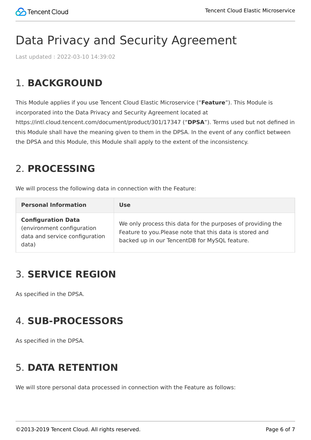# <span id="page-5-0"></span>Data Privacy and Security Agreement

Last updated:2022-03-10 14:39:02

# 1. **BACKGROUND**

This Module applies if you use Tencent Cloud Elastic Microservice ("**Feature**"). This Module is incorporated into the Data Privacy and Security Agreement located at https://intl.cloud.tencent.com/document/product/301/17347 ("**DPSA**"). Terms used but not defined in this Module shall have the meaning given to them in the DPSA. In the event of any conflict between the DPSA and this Module, this Module shall apply to the extent of the inconsistency.

## 2. **PROCESSING**

We will process the following data in connection with the Feature:

| <b>Personal Information</b>                                                                        | <b>Use</b>                                                                                                                                                               |
|----------------------------------------------------------------------------------------------------|--------------------------------------------------------------------------------------------------------------------------------------------------------------------------|
| <b>Configuration Data</b><br>(environment configuration<br>data and service configuration<br>data) | We only process this data for the purposes of providing the<br>Feature to you. Please note that this data is stored and<br>backed up in our TencentDB for MySQL feature. |

# 3. **SERVICE REGION**

As specified in the DPSA.

# 4. **SUB-PROCESSORS**

As specified in the DPSA.

# 5. **DATA RETENTION**

We will store personal data processed in connection with the Feature as follows: